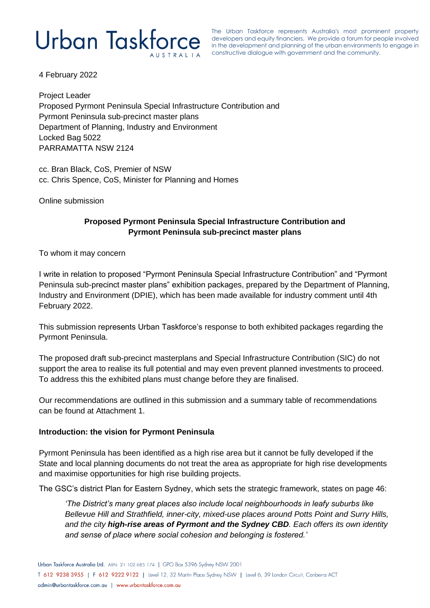The Urban Taskforce represents Australia's most prominent property developers and equity financiers. We provide a forum for people involved in the development and planning of the urban environments to engage in constructive dialogue with government and the community.

4 February 2022

Project Leader Proposed Pyrmont Peninsula Special Infrastructure Contribution and Pyrmont Peninsula sub-precinct master plans Department of Planning, Industry and Environment Locked Bag 5022 PARRAMATTA NSW 2124

cc. Bran Black, CoS, Premier of NSW cc. Chris Spence, CoS, Minister for Planning and Homes

Online submission

## **Proposed Pyrmont Peninsula Special Infrastructure Contribution and Pyrmont Peninsula sub-precinct master plans**

To whom it may concern

I write in relation to proposed "Pyrmont Peninsula Special Infrastructure Contribution" and "Pyrmont Peninsula sub-precinct master plans" exhibition packages, prepared by the Department of Planning, Industry and Environment (DPIE), which has been made available for industry comment until 4th February 2022.

This submission represents Urban Taskforce's response to both exhibited packages regarding the Pyrmont Peninsula.

The proposed draft sub-precinct masterplans and Special Infrastructure Contribution (SIC) do not support the area to realise its full potential and may even prevent planned investments to proceed. To address this the exhibited plans must change before they are finalised.

Our recommendations are outlined in this submission and a summary table of recommendations can be found at Attachment 1.

#### **Introduction: the vision for Pyrmont Peninsula**

Pyrmont Peninsula has been identified as a high rise area but it cannot be fully developed if the State and local planning documents do not treat the area as appropriate for high rise developments and maximise opportunities for high rise building projects.

The GSC's district Plan for Eastern Sydney, which sets the strategic framework, states on page 46:

*'The District's many great places also include local neighbourhoods in leafy suburbs like Bellevue Hill and Strathfield, inner-city, mixed-use places around Potts Point and Surry Hills, and the city high-rise areas of Pyrmont and the Sydney CBD. Each offers its own identity and sense of place where social cohesion and belonging is fostered.'*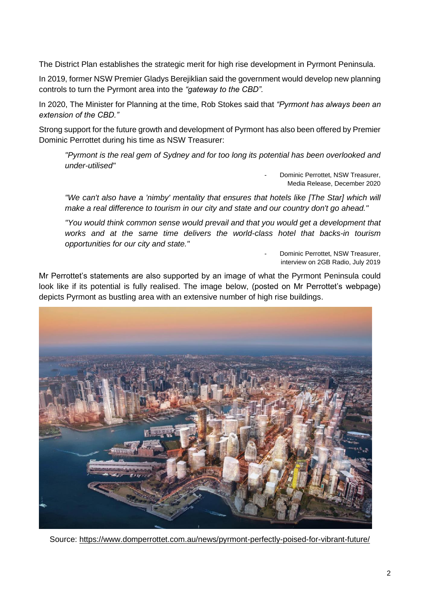The District Plan establishes the strategic merit for high rise development in Pyrmont Peninsula.

In 2019, former NSW Premier Gladys Berejiklian said the government would develop new planning controls to turn the Pyrmont area into the *"gateway to the CBD".*

In 2020, The Minister for Planning at the time, Rob Stokes said that *"Pyrmont has always been an extension of the CBD."*

Strong support for the future growth and development of Pyrmont has also been offered by Premier Dominic Perrottet during his time as NSW Treasurer:

*"Pyrmont is the real gem of Sydney and for too long its potential has been overlooked and under-utilised"* 

> Dominic Perrottet, NSW Treasurer, Media Release, December 2020

*"We can't also have a 'nimby' mentality that ensures that hotels like [The Star] which will make a real difference to tourism in our city and state and our country don't go ahead."*

*"You would think common sense would prevail and that you would get a development that works and at the same time delivers the world-class hotel that backs-in tourism opportunities for our city and state."* 

> Dominic Perrottet, NSW Treasurer, interview on 2GB Radio, July 2019

Mr Perrottet's statements are also supported by an image of what the Pyrmont Peninsula could look like if its potential is fully realised. The image below, (posted on Mr Perrottet's webpage) depicts Pyrmont as bustling area with an extensive number of high rise buildings.



Source:<https://www.domperrottet.com.au/news/pyrmont-perfectly-poised-for-vibrant-future/>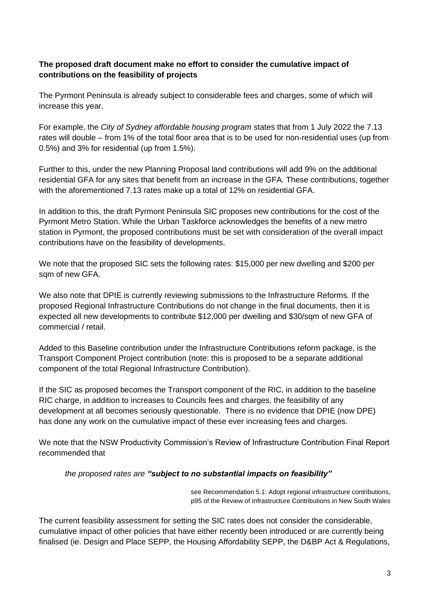## **The proposed draft document make no effort to consider the cumulative impact of contributions on the feasibility of projects**

The Pyrmont Peninsula is already subject to considerable fees and charges, some of which will increase this year.

For example, the *City of Sydney affordable housing program* states that from 1 July 2022 the 7.13 rates will double – from 1% of the total floor area that is to be used for non-residential uses (up from 0.5%) and 3% for residential (up from 1.5%).

Further to this, under the new Planning Proposal land contributions will add 9% on the additional residential GFA for any sites that benefit from an increase in the GFA. These contributions, together with the aforementioned 7.13 rates make up a total of 12% on residential GFA.

In addition to this, the draft Pyrmont Peninsula SIC proposes new contributions for the cost of the Pyrmont Metro Station. While the Urban Taskforce acknowledges the benefits of a new metro station in Pyrmont, the proposed contributions must be set with consideration of the overall impact contributions have on the feasibility of developments.

We note that the proposed SIC sets the following rates: \$15,000 per new dwelling and \$200 per sqm of new GFA.

We also note that DPIE is currently reviewing submissions to the Infrastructure Reforms. If the proposed Regional Infrastructure Contributions do not change in the final documents, then it is expected all new developments to contribute \$12,000 per dwelling and \$30/sqm of new GFA of commercial / retail.

Added to this Baseline contribution under the Infrastructure Contributions reform package, is the Transport Component Project contribution (note: this is proposed to be a separate additional component of the total Regional Infrastructure Contribution).

If the SIC as proposed becomes the Transport component of the RIC, in addition to the baseline RIC charge, in addition to increases to Councils fees and charges, the feasibility of any development at all becomes seriously questionable. There is no evidence that DPIE (now DPE) has done any work on the cumulative impact of these ever increasing fees and charges.

We note that the NSW Productivity Commission's Review of Infrastructure Contribution Final Report recommended that

*the proposed rates are "subject to no substantial impacts on feasibility"*

see Recommendation 5.1: Adopt regional infrastructure contributions, p95 of the Review of Infrastructure Contributions in New South Wales

The current feasibility assessment for setting the SIC rates does not consider the considerable, cumulative impact of other policies that have either recently been introduced or are currently being finalised (ie. Design and Place SEPP, the Housing Affordability SEPP, the D&BP Act & Regulations,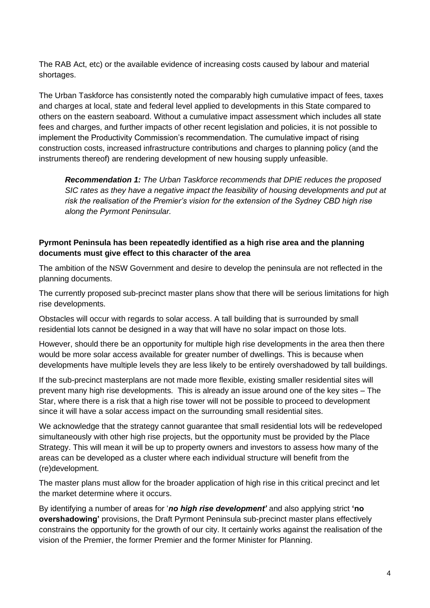The RAB Act, etc) or the available evidence of increasing costs caused by labour and material shortages.

The Urban Taskforce has consistently noted the comparably high cumulative impact of fees, taxes and charges at local, state and federal level applied to developments in this State compared to others on the eastern seaboard. Without a cumulative impact assessment which includes all state fees and charges, and further impacts of other recent legislation and policies, it is not possible to implement the Productivity Commission's recommendation. The cumulative impact of rising construction costs, increased infrastructure contributions and charges to planning policy (and the instruments thereof) are rendering development of new housing supply unfeasible.

*Recommendation 1: The Urban Taskforce recommends that DPIE reduces the proposed SIC rates as they have a negative impact the feasibility of housing developments and put at risk the realisation of the Premier's vision for the extension of the Sydney CBD high rise along the Pyrmont Peninsular.*

## **Pyrmont Peninsula has been repeatedly identified as a high rise area and the planning documents must give effect to this character of the area**

The ambition of the NSW Government and desire to develop the peninsula are not reflected in the planning documents.

The currently proposed sub-precinct master plans show that there will be serious limitations for high rise developments.

Obstacles will occur with regards to solar access. A tall building that is surrounded by small residential lots cannot be designed in a way that will have no solar impact on those lots.

However, should there be an opportunity for multiple high rise developments in the area then there would be more solar access available for greater number of dwellings. This is because when developments have multiple levels they are less likely to be entirely overshadowed by tall buildings.

If the sub-precinct masterplans are not made more flexible, existing smaller residential sites will prevent many high rise developments. This is already an issue around one of the key sites – The Star, where there is a risk that a high rise tower will not be possible to proceed to development since it will have a solar access impact on the surrounding small residential sites.

We acknowledge that the strategy cannot guarantee that small residential lots will be redeveloped simultaneously with other high rise projects, but the opportunity must be provided by the Place Strategy. This will mean it will be up to property owners and investors to assess how many of the areas can be developed as a cluster where each individual structure will benefit from the (re)development.

The master plans must allow for the broader application of high rise in this critical precinct and let the market determine where it occurs.

By identifying a number of areas for '*no high rise development'* and also applying strict **'no overshadowing'** provisions, the Draft Pyrmont Peninsula sub-precinct master plans effectively constrains the opportunity for the growth of our city. It certainly works against the realisation of the vision of the Premier, the former Premier and the former Minister for Planning.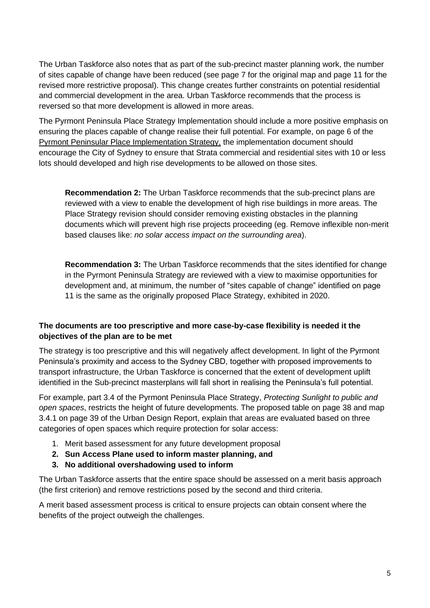The Urban Taskforce also notes that as part of the sub-precinct master planning work, the number of sites capable of change have been reduced (see page 7 for the original map and page 11 for the revised more restrictive proposal). This change creates further constraints on potential residential and commercial development in the area. Urban Taskforce recommends that the process is reversed so that more development is allowed in more areas.

The Pyrmont Peninsula Place Strategy Implementation should include a more positive emphasis on ensuring the places capable of change realise their full potential. For example, on page 6 of the Pyrmont Peninsular Place Implementation Strategy, the implementation document should encourage the City of Sydney to ensure that Strata commercial and residential sites with 10 or less lots should developed and high rise developments to be allowed on those sites.

**Recommendation 2:** The Urban Taskforce recommends that the sub-precinct plans are reviewed with a view to enable the development of high rise buildings in more areas. The Place Strategy revision should consider removing existing obstacles in the planning documents which will prevent high rise projects proceeding (eg. Remove inflexible non-merit based clauses like: *no solar access impact on the surrounding area*).

**Recommendation 3:** The Urban Taskforce recommends that the sites identified for change in the Pyrmont Peninsula Strategy are reviewed with a view to maximise opportunities for development and, at minimum, the number of "sites capable of change" identified on page 11 is the same as the originally proposed Place Strategy, exhibited in 2020.

## **The documents are too prescriptive and more case-by-case flexibility is needed it the objectives of the plan are to be met**

The strategy is too prescriptive and this will negatively affect development. In light of the Pyrmont Peninsula's proximity and access to the Sydney CBD, together with proposed improvements to transport infrastructure, the Urban Taskforce is concerned that the extent of development uplift identified in the Sub-precinct masterplans will fall short in realising the Peninsula's full potential.

For example, part 3.4 of the Pyrmont Peninsula Place Strategy, *Protecting Sunlight to public and open spaces*, restricts the height of future developments. The proposed table on page 38 and map 3.4.1 on page 39 of the Urban Design Report, explain that areas are evaluated based on three categories of open spaces which require protection for solar access:

- 1. Merit based assessment for any future development proposal
- **2. Sun Access Plane used to inform master planning, and**
- **3. No additional overshadowing used to inform**

The Urban Taskforce asserts that the entire space should be assessed on a merit basis approach (the first criterion) and remove restrictions posed by the second and third criteria.

A merit based assessment process is critical to ensure projects can obtain consent where the benefits of the project outweigh the challenges.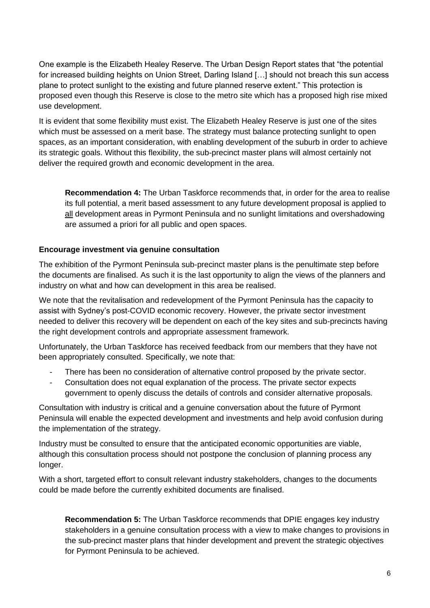One example is the Elizabeth Healey Reserve. The Urban Design Report states that "the potential for increased building heights on Union Street, Darling Island […] should not breach this sun access plane to protect sunlight to the existing and future planned reserve extent." This protection is proposed even though this Reserve is close to the metro site which has a proposed high rise mixed use development.

It is evident that some flexibility must exist. The Elizabeth Healey Reserve is just one of the sites which must be assessed on a merit base. The strategy must balance protecting sunlight to open spaces, as an important consideration, with enabling development of the suburb in order to achieve its strategic goals. Without this flexibility, the sub-precinct master plans will almost certainly not deliver the required growth and economic development in the area.

**Recommendation 4:** The Urban Taskforce recommends that, in order for the area to realise its full potential, a merit based assessment to any future development proposal is applied to all development areas in Pyrmont Peninsula and no sunlight limitations and overshadowing are assumed a priori for all public and open spaces.

#### **Encourage investment via genuine consultation**

The exhibition of the Pyrmont Peninsula sub-precinct master plans is the penultimate step before the documents are finalised. As such it is the last opportunity to align the views of the planners and industry on what and how can development in this area be realised.

We note that the revitalisation and redevelopment of the Pyrmont Peninsula has the capacity to assist with Sydney's post-COVID economic recovery. However, the private sector investment needed to deliver this recovery will be dependent on each of the key sites and sub-precincts having the right development controls and appropriate assessment framework.

Unfortunately, the Urban Taskforce has received feedback from our members that they have not been appropriately consulted. Specifically, we note that:

- There has been no consideration of alternative control proposed by the private sector.
- Consultation does not equal explanation of the process. The private sector expects government to openly discuss the details of controls and consider alternative proposals.

Consultation with industry is critical and a genuine conversation about the future of Pyrmont Peninsula will enable the expected development and investments and help avoid confusion during the implementation of the strategy.

Industry must be consulted to ensure that the anticipated economic opportunities are viable, although this consultation process should not postpone the conclusion of planning process any longer.

With a short, targeted effort to consult relevant industry stakeholders, changes to the documents could be made before the currently exhibited documents are finalised.

**Recommendation 5:** The Urban Taskforce recommends that DPIE engages key industry stakeholders in a genuine consultation process with a view to make changes to provisions in the sub-precinct master plans that hinder development and prevent the strategic objectives for Pyrmont Peninsula to be achieved.